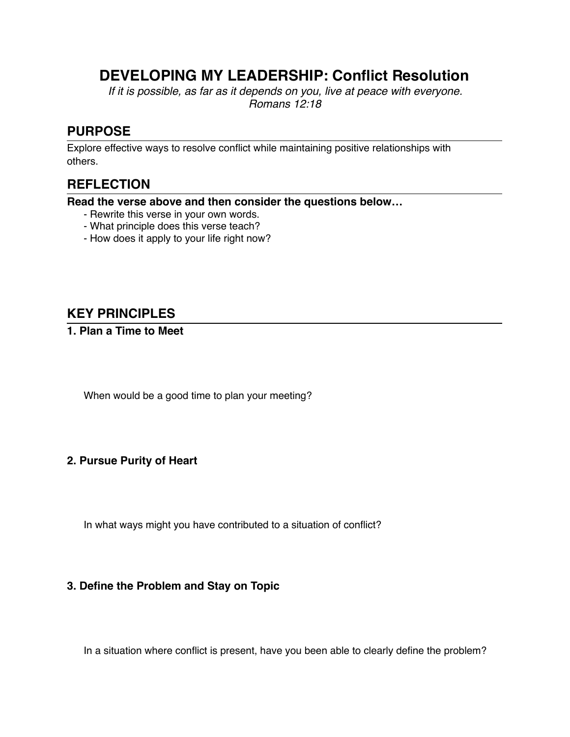# **DEVELOPING MY LEADERSHIP: Conflict Resolution**

*If it is possible, as far as it depends on you, live at peace with everyone. Romans 12:18*

## **PURPOSE**

Explore effective ways to resolve conflict while maintaining positive relationships with others.

## **REFLECTION**

**Read the verse above and then consider the questions below…**

- Rewrite this verse in your own words.
- What principle does this verse teach?
- How does it apply to your life right now?

## **KEY PRINCIPLES**

#### **1. Plan a Time to Meet**

When would be a good time to plan your meeting?

#### **2. Pursue Purity of Heart**

In what ways might you have contributed to a situation of conflict?

#### **3. Define the Problem and Stay on Topic**

In a situation where conflict is present, have you been able to clearly define the problem?